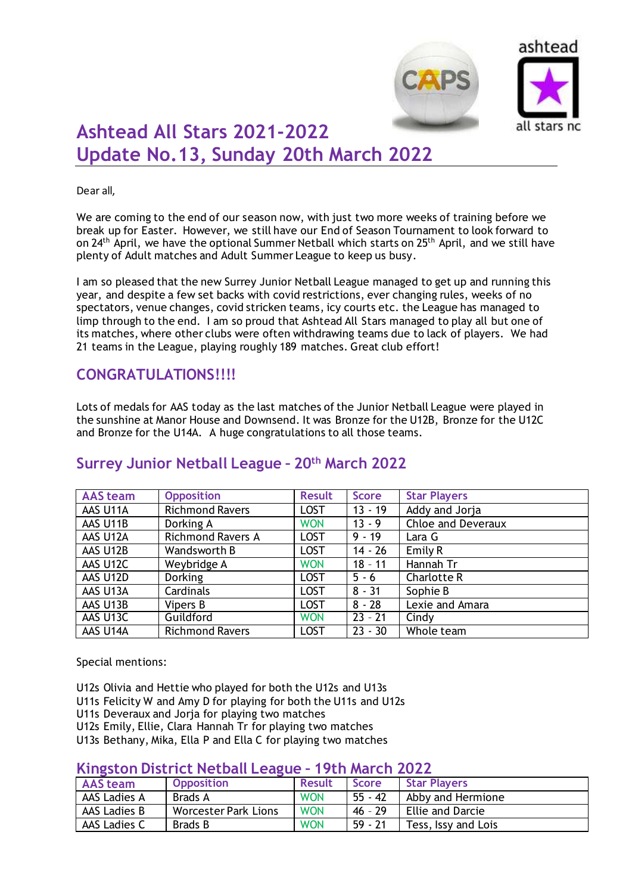



# **Ashtead All Stars 2021-2022 Update No.13, Sunday 20th March 2022**

#### Dear all,

We are coming to the end of our season now, with just two more weeks of training before we break up for Easter. However, we still have our End of Season Tournament to look forward to on 24<sup>th</sup> April, we have the optional Summer Netball which starts on 25<sup>th</sup> April, and we still have plenty of Adult matches and Adult Summer League to keep us busy.

I am so pleased that the new Surrey Junior Netball League managed to get up and running this year, and despite a few set backs with covid restrictions, ever changing rules, weeks of no spectators, venue changes, covid stricken teams, icy courts etc. the League has managed to limp through to the end. I am so proud that Ashtead All Stars managed to play all but one of its matches, where other clubs were often withdrawing teams due to lack of players. We had 21 teams in the League, playing roughly 189 matches. Great club effort!

### **CONGRATULATIONS!!!!**

Lots of medals for AAS today as the last matches of the Junior Netball League were played in the sunshine at Manor House and Downsend. It was Bronze for the U12B, Bronze for the U12C and Bronze for the U14A. A huge congratulations to all those teams.

| <b>AAS</b> team | <b>Opposition</b>        | <b>Result</b> | <b>Score</b> | <b>Star Players</b>       |
|-----------------|--------------------------|---------------|--------------|---------------------------|
| AAS U11A        | <b>Richmond Ravers</b>   | <b>LOST</b>   | $13 - 19$    | Addy and Jorja            |
| AAS U11B        | Dorking A                | <b>WON</b>    | $13 - 9$     | <b>Chloe and Deveraux</b> |
| AAS U12A        | <b>Richmond Ravers A</b> | <b>LOST</b>   | $9 - 19$     | Lara G                    |
| AAS U12B        | Wandsworth B             | <b>LOST</b>   | $14 - 26$    | Emily R                   |
| AAS U12C        | Weybridge A              | <b>WON</b>    | $18 - 11$    | Hannah Tr                 |
| AAS U12D        | <b>Dorking</b>           | <b>LOST</b>   | $5 - 6$      | Charlotte R               |
| AAS U13A        | Cardinals                | <b>LOST</b>   | $8 - 31$     | Sophie B                  |
| AAS U13B        | Vipers B                 | <b>LOST</b>   | $8 - 28$     | Lexie and Amara           |
| AAS U13C        | Guildford                | <b>WON</b>    | $23 - 21$    | Cindy                     |
| AAS U14A        | <b>Richmond Ravers</b>   | <b>LOST</b>   | $23 - 30$    | Whole team                |

### **Surrey Junior Netball League – 20th March 2022**

Special mentions:

U12s Olivia and Hettie who played for both the U12s and U13s

- U11s Felicity W and Amy D for playing for both the U11s and U12s
- U11s Deveraux and Jorja for playing two matches
- U12s Emily, Ellie, Clara Hannah Tr for playing two matches

U13s Bethany, Mika, Ella P and Ella C for playing two matches

#### **Kingston District Netball League – 19th March 2022**

| <b>AAS team</b> | <b>Opposition</b>           | <b>Result</b> | <b>Score</b> | <b>Star Players</b> |
|-----------------|-----------------------------|---------------|--------------|---------------------|
| AAS Ladies A    | Brads A                     | <b>WON</b>    | $55 - 42$    | Abby and Hermione   |
| AAS Ladies B    | <b>Worcester Park Lions</b> | <b>WON</b>    | $46 - 29$    | Ellie and Darcie    |
| AAS Ladies C    | <b>Brads B</b>              | <b>WON</b>    | $59 - 21$    | Tess, Issy and Lois |